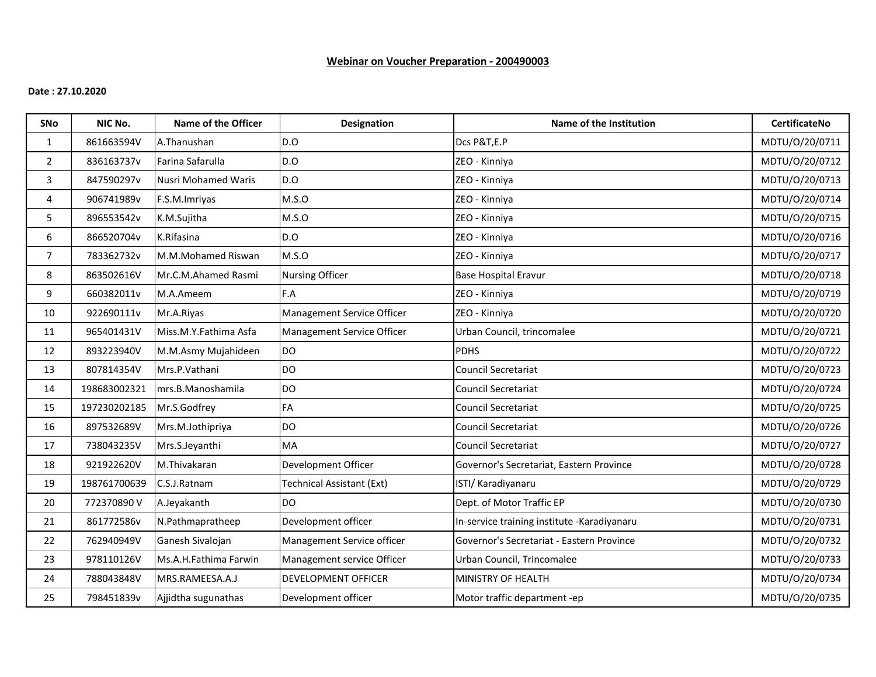# **Webinar on Voucher Preparation - 200490003**

## **Date : 27.10.2020**

| <b>SNo</b>     | NIC No.      | Name of the Officer        | <b>Designation</b>         | Name of the Institution                     | <b>CertificateNo</b> |
|----------------|--------------|----------------------------|----------------------------|---------------------------------------------|----------------------|
| $\mathbf{1}$   | 861663594V   | A.Thanushan                | D.O                        | Dcs P&T,E.P                                 | MDTU/0/20/0711       |
| $\overline{2}$ | 836163737v   | Farina Safarulla           | D.O                        | ZEO - Kinniya                               | MDTU/0/20/0712       |
| 3              | 847590297v   | <b>Nusri Mohamed Waris</b> | D.O                        | ZEO - Kinniya                               | MDTU/0/20/0713       |
| 4              | 906741989v   | F.S.M.Imriyas              | M.S.O                      | ZEO - Kinniya                               | MDTU/0/20/0714       |
| 5              | 896553542v   | K.M.Sujitha                | M.S.O                      | ZEO - Kinniya                               | MDTU/0/20/0715       |
| 6              | 866520704v   | K.Rifasina                 | D.O                        | ZEO - Kinniya                               | MDTU/0/20/0716       |
| $\overline{7}$ | 783362732v   | M.M.Mohamed Riswan         | M.S.O                      | ZEO - Kinniya                               | MDTU/0/20/0717       |
| 8              | 863502616V   | Mr.C.M.Ahamed Rasmi        | <b>Nursing Officer</b>     | <b>Base Hospital Eravur</b>                 | MDTU/0/20/0718       |
| 9              | 660382011v   | M.A.Ameem                  | F.A                        | ZEO - Kinniya                               | MDTU/0/20/0719       |
| 10             | 922690111v   | Mr.A.Riyas                 | Management Service Officer | ZEO - Kinniya                               | MDTU/0/20/0720       |
| 11             | 965401431V   | Miss.M.Y.Fathima Asfa      | Management Service Officer | Urban Council, trincomalee                  | MDTU/0/20/0721       |
| 12             | 893223940V   | M.M.Asmy Mujahideen        | <b>DO</b>                  | <b>PDHS</b>                                 | MDTU/0/20/0722       |
| 13             | 807814354V   | Mrs.P.Vathani              | <b>DO</b>                  | Council Secretariat                         | MDTU/0/20/0723       |
| 14             | 198683002321 | mrs.B.Manoshamila          | <b>DO</b>                  | Council Secretariat                         | MDTU/0/20/0724       |
| 15             | 197230202185 | Mr.S.Godfrey               | FA                         | Council Secretariat                         | MDTU/0/20/0725       |
| 16             | 897532689V   | Mrs.M.Jothipriya           | <b>DO</b>                  | Council Secretariat                         | MDTU/0/20/0726       |
| 17             | 738043235V   | Mrs.S.Jeyanthi             | MA                         | <b>Council Secretariat</b>                  | MDTU/0/20/0727       |
| 18             | 921922620V   | M.Thivakaran               | Development Officer        | Governor's Secretariat, Eastern Province    | MDTU/0/20/0728       |
| 19             | 198761700639 | C.S.J.Ratnam               | Technical Assistant (Ext)  | ISTI/ Karadiyanaru                          | MDTU/O/20/0729       |
| 20             | 772370890V   | A.Jeyakanth                | <b>DO</b>                  | Dept. of Motor Traffic EP                   | MDTU/O/20/0730       |
| 21             | 861772586v   | N.Pathmapratheep           | Development officer        | In-service training institute -Karadiyanaru | MDTU/0/20/0731       |
| 22             | 762940949V   | Ganesh Sivalojan           | Management Service officer | Governor's Secretariat - Eastern Province   | MDTU/0/20/0732       |
| 23             | 978110126V   | Ms.A.H.Fathima Farwin      | Management service Officer | Urban Council, Trincomalee                  | MDTU/0/20/0733       |
| 24             | 788043848V   | MRS.RAMEESA.A.J            | <b>DEVELOPMENT OFFICER</b> | MINISTRY OF HEALTH                          | MDTU/0/20/0734       |
| 25             | 798451839v   | Ajjidtha sugunathas        | Development officer        | Motor traffic department -ep                | MDTU/0/20/0735       |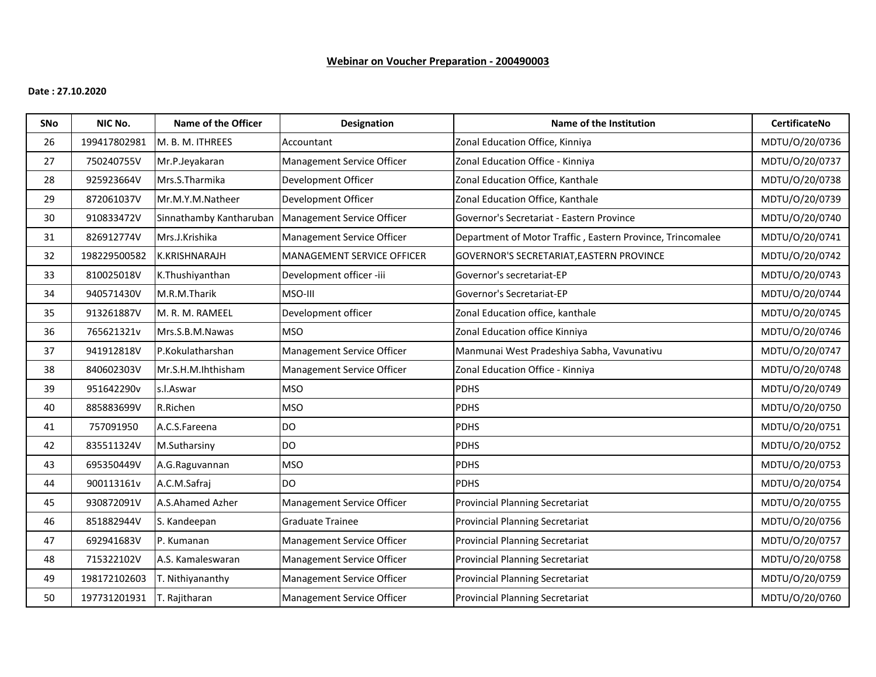# **Webinar on Voucher Preparation - 200490003**

## **Date : 27.10.2020**

| SNo | NIC No.      | Name of the Officer     | <b>Designation</b>         | Name of the Institution                                    | <b>CertificateNo</b> |
|-----|--------------|-------------------------|----------------------------|------------------------------------------------------------|----------------------|
| 26  | 199417802981 | M. B. M. ITHREES        | Accountant                 | Zonal Education Office, Kinniya                            | MDTU/0/20/0736       |
| 27  | 750240755V   | Mr.P.Jeyakaran          | Management Service Officer | Zonal Education Office - Kinniya                           | MDTU/0/20/0737       |
| 28  | 925923664V   | Mrs.S.Tharmika          | Development Officer        | Zonal Education Office, Kanthale                           | MDTU/0/20/0738       |
| 29  | 872061037V   | Mr.M.Y.M.Natheer        | Development Officer        | Zonal Education Office, Kanthale                           | MDTU/0/20/0739       |
| 30  | 910833472V   | Sinnathamby Kantharuban | Management Service Officer | Governor's Secretariat - Eastern Province                  | MDTU/0/20/0740       |
| 31  | 826912774V   | Mrs.J.Krishika          | Management Service Officer | Department of Motor Traffic, Eastern Province, Trincomalee | MDTU/0/20/0741       |
| 32  | 198229500582 | K.KRISHNARAJH           | MANAGEMENT SERVICE OFFICER | GOVERNOR'S SECRETARIAT, EASTERN PROVINCE                   | MDTU/0/20/0742       |
| 33  | 810025018V   | K.Thushiyanthan         | Development officer -iii   | Governor's secretariat-EP                                  | MDTU/0/20/0743       |
| 34  | 940571430V   | M.R.M.Tharik            | MSO-III                    | Governor's Secretariat-EP                                  | MDTU/0/20/0744       |
| 35  | 913261887V   | M. R. M. RAMEEL         | Development officer        | Zonal Education office, kanthale                           | MDTU/0/20/0745       |
| 36  | 765621321v   | Mrs.S.B.M.Nawas         | <b>MSO</b>                 | Zonal Education office Kinniya                             | MDTU/0/20/0746       |
| 37  | 941912818V   | P.Kokulatharshan        | Management Service Officer | Manmunai West Pradeshiya Sabha, Vavunativu                 | MDTU/0/20/0747       |
| 38  | 840602303V   | Mr.S.H.M.Ihthisham      | Management Service Officer | Zonal Education Office - Kinniya                           | MDTU/0/20/0748       |
| 39  | 951642290v   | s.l.Aswar               | <b>MSO</b>                 | <b>PDHS</b>                                                | MDTU/0/20/0749       |
| 40  | 885883699V   | R.Richen                | <b>MSO</b>                 | <b>PDHS</b>                                                | MDTU/0/20/0750       |
| 41  | 757091950    | A.C.S.Fareena           | DO                         | <b>PDHS</b>                                                | MDTU/0/20/0751       |
| 42  | 835511324V   | M.Sutharsiny            | DO                         | <b>PDHS</b>                                                | MDTU/O/20/0752       |
| 43  | 695350449V   | A.G.Raguvannan          | <b>MSO</b>                 | <b>PDHS</b>                                                | MDTU/0/20/0753       |
| 44  | 900113161v   | A.C.M.Safraj            | <b>DO</b>                  | <b>PDHS</b>                                                | MDTU/0/20/0754       |
| 45  | 930872091V   | A.S.Ahamed Azher        | Management Service Officer | <b>Provincial Planning Secretariat</b>                     | MDTU/0/20/0755       |
| 46  | 851882944V   | S. Kandeepan            | <b>Graduate Trainee</b>    | <b>Provincial Planning Secretariat</b>                     | MDTU/0/20/0756       |
| 47  | 692941683V   | P. Kumanan              | Management Service Officer | <b>Provincial Planning Secretariat</b>                     | MDTU/0/20/0757       |
| 48  | 715322102V   | A.S. Kamaleswaran       | Management Service Officer | Provincial Planning Secretariat                            | MDTU/0/20/0758       |
| 49  | 198172102603 | T. Nithiyananthy        | Management Service Officer | Provincial Planning Secretariat                            | MDTU/O/20/0759       |
| 50  | 197731201931 | T. Rajitharan           | Management Service Officer | <b>Provincial Planning Secretariat</b>                     | MDTU/O/20/0760       |